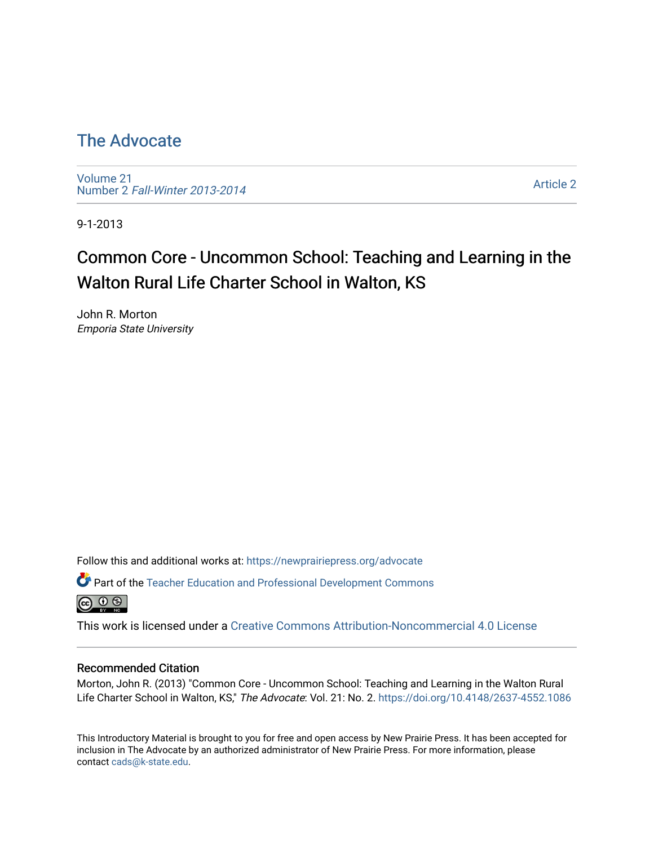# [The Advocate](https://newprairiepress.org/advocate)

[Volume 21](https://newprairiepress.org/advocate/vol21) Number 2 [Fall-Winter 2013-2014](https://newprairiepress.org/advocate/vol21/iss2) 

[Article 2](https://newprairiepress.org/advocate/vol21/iss2/2) 

9-1-2013

# Common Core - Uncommon School: Teaching and Learning in the Walton Rural Life Charter School in Walton, KS

John R. Morton Emporia State University

Follow this and additional works at: [https://newprairiepress.org/advocate](https://newprairiepress.org/advocate?utm_source=newprairiepress.org%2Fadvocate%2Fvol21%2Fiss2%2F2&utm_medium=PDF&utm_campaign=PDFCoverPages) 

Part of the [Teacher Education and Professional Development Commons](http://network.bepress.com/hgg/discipline/803?utm_source=newprairiepress.org%2Fadvocate%2Fvol21%2Fiss2%2F2&utm_medium=PDF&utm_campaign=PDFCoverPages)   $\circledcirc$ 

This work is licensed under a [Creative Commons Attribution-Noncommercial 4.0 License](https://creativecommons.org/licenses/by-nc/4.0/)

### Recommended Citation

Morton, John R. (2013) "Common Core - Uncommon School: Teaching and Learning in the Walton Rural Life Charter School in Walton, KS," The Advocate: Vol. 21: No. 2.<https://doi.org/10.4148/2637-4552.1086>

This Introductory Material is brought to you for free and open access by New Prairie Press. It has been accepted for inclusion in The Advocate by an authorized administrator of New Prairie Press. For more information, please contact [cads@k-state.edu](mailto:cads@k-state.edu).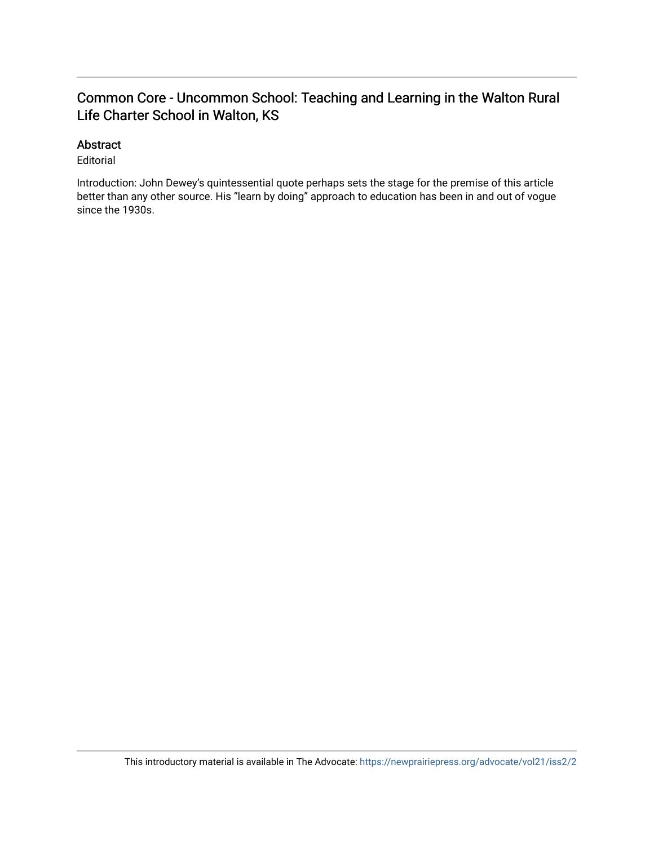# Common Core - Uncommon School: Teaching and Learning in the Walton Rural Life Charter School in Walton, KS

## Abstract

Editorial

Introduction: John Dewey's quintessential quote perhaps sets the stage for the premise of this article better than any other source. His "learn by doing" approach to education has been in and out of vogue since the 1930s.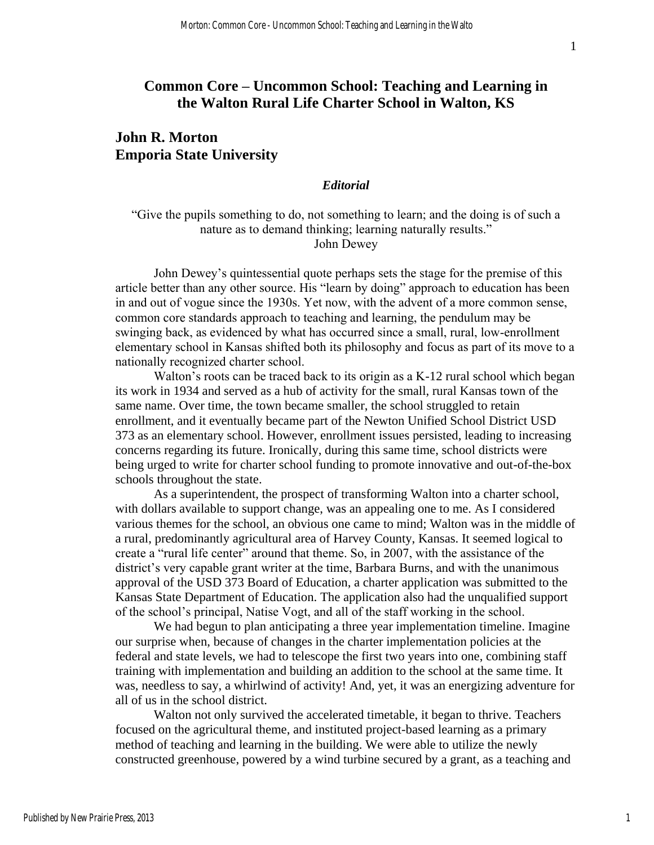## **Common Core – Uncommon School: Teaching and Learning in the Walton Rural Life Charter School in Walton, KS**

## **John R. Morton Emporia State University**

#### *Editorial*

"Give the pupils something to do, not something to learn; and the doing is of such a nature as to demand thinking; learning naturally results." John Dewey

John Dewey's quintessential quote perhaps sets the stage for the premise of this article better than any other source. His "learn by doing" approach to education has been in and out of vogue since the 1930s. Yet now, with the advent of a more common sense, common core standards approach to teaching and learning, the pendulum may be swinging back, as evidenced by what has occurred since a small, rural, low-enrollment elementary school in Kansas shifted both its philosophy and focus as part of its move to a nationally recognized charter school.

Walton's roots can be traced back to its origin as a K-12 rural school which began its work in 1934 and served as a hub of activity for the small, rural Kansas town of the same name. Over time, the town became smaller, the school struggled to retain enrollment, and it eventually became part of the Newton Unified School District USD 373 as an elementary school. However, enrollment issues persisted, leading to increasing concerns regarding its future. Ironically, during this same time, school districts were being urged to write for charter school funding to promote innovative and out-of-the-box schools throughout the state.

As a superintendent, the prospect of transforming Walton into a charter school, with dollars available to support change, was an appealing one to me. As I considered various themes for the school, an obvious one came to mind; Walton was in the middle of a rural, predominantly agricultural area of Harvey County, Kansas. It seemed logical to create a "rural life center" around that theme. So, in 2007, with the assistance of the district's very capable grant writer at the time, Barbara Burns, and with the unanimous approval of the USD 373 Board of Education, a charter application was submitted to the Kansas State Department of Education. The application also had the unqualified support of the school's principal, Natise Vogt, and all of the staff working in the school.

We had begun to plan anticipating a three year implementation timeline. Imagine our surprise when, because of changes in the charter implementation policies at the federal and state levels, we had to telescope the first two years into one, combining staff training with implementation and building an addition to the school at the same time. It was, needless to say, a whirlwind of activity! And, yet, it was an energizing adventure for all of us in the school district.

Walton not only survived the accelerated timetable, it began to thrive. Teachers focused on the agricultural theme, and instituted project-based learning as a primary method of teaching and learning in the building. We were able to utilize the newly constructed greenhouse, powered by a wind turbine secured by a grant, as a teaching and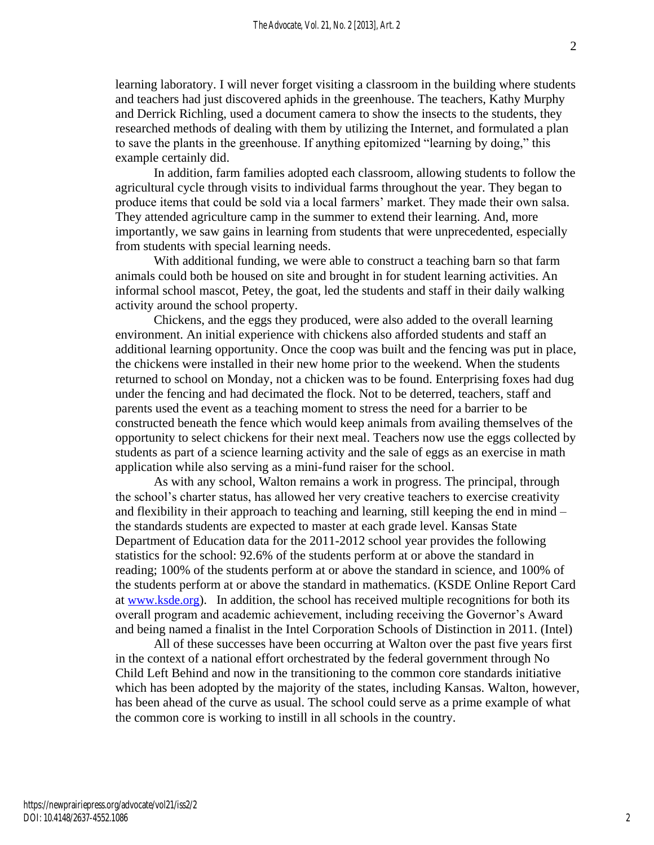learning laboratory. I will never forget visiting a classroom in the building where students and teachers had just discovered aphids in the greenhouse. The teachers, Kathy Murphy and Derrick Richling, used a document camera to show the insects to the students, they researched methods of dealing with them by utilizing the Internet, and formulated a plan to save the plants in the greenhouse. If anything epitomized "learning by doing," this example certainly did.

In addition, farm families adopted each classroom, allowing students to follow the agricultural cycle through visits to individual farms throughout the year. They began to produce items that could be sold via a local farmers' market. They made their own salsa. They attended agriculture camp in the summer to extend their learning. And, more importantly, we saw gains in learning from students that were unprecedented, especially from students with special learning needs.

With additional funding, we were able to construct a teaching barn so that farm animals could both be housed on site and brought in for student learning activities. An informal school mascot, Petey, the goat, led the students and staff in their daily walking activity around the school property.

Chickens, and the eggs they produced, were also added to the overall learning environment. An initial experience with chickens also afforded students and staff an additional learning opportunity. Once the coop was built and the fencing was put in place, the chickens were installed in their new home prior to the weekend. When the students returned to school on Monday, not a chicken was to be found. Enterprising foxes had dug under the fencing and had decimated the flock. Not to be deterred, teachers, staff and parents used the event as a teaching moment to stress the need for a barrier to be constructed beneath the fence which would keep animals from availing themselves of the opportunity to select chickens for their next meal. Teachers now use the eggs collected by students as part of a science learning activity and the sale of eggs as an exercise in math application while also serving as a mini-fund raiser for the school.

As with any school, Walton remains a work in progress. The principal, through the school's charter status, has allowed her very creative teachers to exercise creativity and flexibility in their approach to teaching and learning, still keeping the end in mind – the standards students are expected to master at each grade level. Kansas State Department of Education data for the 2011-2012 school year provides the following statistics for the school: 92.6% of the students perform at or above the standard in reading; 100% of the students perform at or above the standard in science, and 100% of the students perform at or above the standard in mathematics. (KSDE Online Report Card at [www.ksde.org](http://www.ksde.org/)). In addition, the school has received multiple recognitions for both its overall program and academic achievement, including receiving the Governor's Award and being named a finalist in the Intel Corporation Schools of Distinction in 2011. (Intel)

All of these successes have been occurring at Walton over the past five years first in the context of a national effort orchestrated by the federal government through No Child Left Behind and now in the transitioning to the common core standards initiative which has been adopted by the majority of the states, including Kansas. Walton, however, has been ahead of the curve as usual. The school could serve as a prime example of what the common core is working to instill in all schools in the country.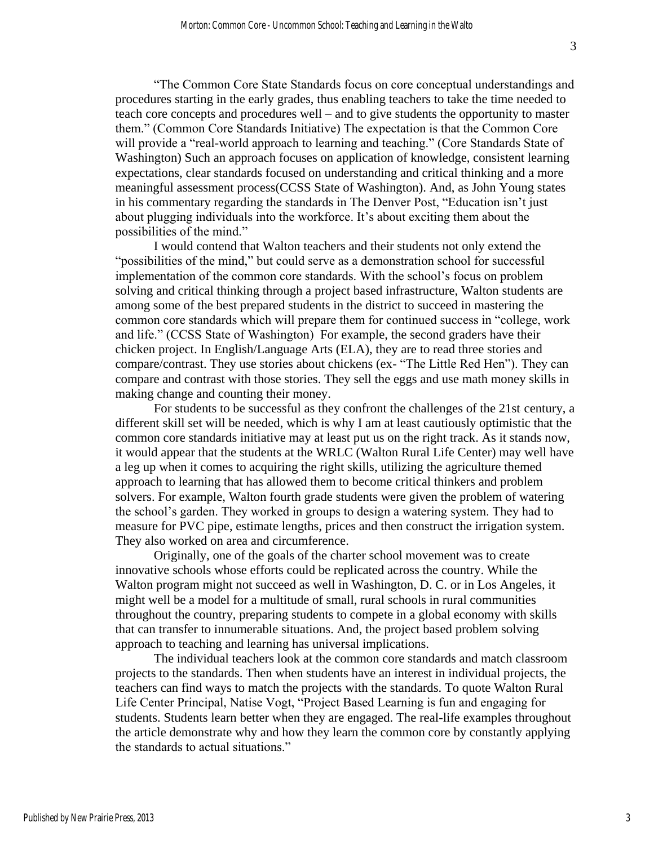"The Common Core State Standards focus on core conceptual understandings and procedures starting in the early grades, thus enabling teachers to take the time needed to teach core concepts and procedures well – and to give students the opportunity to master them." (Common Core Standards Initiative) The expectation is that the Common Core will provide a "real-world approach to learning and teaching." (Core Standards State of Washington) Such an approach focuses on application of knowledge, consistent learning expectations, clear standards focused on understanding and critical thinking and a more meaningful assessment process(CCSS State of Washington). And, as John Young states in his commentary regarding the standards in The Denver Post, "Education isn't just about plugging individuals into the workforce. It's about exciting them about the possibilities of the mind."

I would contend that Walton teachers and their students not only extend the "possibilities of the mind," but could serve as a demonstration school for successful implementation of the common core standards. With the school's focus on problem solving and critical thinking through a project based infrastructure, Walton students are among some of the best prepared students in the district to succeed in mastering the common core standards which will prepare them for continued success in "college, work and life." (CCSS State of Washington) For example, the second graders have their chicken project. In English/Language Arts (ELA), they are to read three stories and compare/contrast. They use stories about chickens (ex- "The Little Red Hen"). They can compare and contrast with those stories. They sell the eggs and use math money skills in making change and counting their money.

For students to be successful as they confront the challenges of the 21st century, a different skill set will be needed, which is why I am at least cautiously optimistic that the common core standards initiative may at least put us on the right track. As it stands now, it would appear that the students at the WRLC (Walton Rural Life Center) may well have a leg up when it comes to acquiring the right skills, utilizing the agriculture themed approach to learning that has allowed them to become critical thinkers and problem solvers. For example, Walton fourth grade students were given the problem of watering the school's garden. They worked in groups to design a watering system. They had to measure for PVC pipe, estimate lengths, prices and then construct the irrigation system. They also worked on area and circumference.

Originally, one of the goals of the charter school movement was to create innovative schools whose efforts could be replicated across the country. While the Walton program might not succeed as well in Washington, D. C. or in Los Angeles, it might well be a model for a multitude of small, rural schools in rural communities throughout the country, preparing students to compete in a global economy with skills that can transfer to innumerable situations. And, the project based problem solving approach to teaching and learning has universal implications.

The individual teachers look at the common core standards and match classroom projects to the standards. Then when students have an interest in individual projects, the teachers can find ways to match the projects with the standards. To quote Walton Rural Life Center Principal, Natise Vogt, "Project Based Learning is fun and engaging for students. Students learn better when they are engaged. The real-life examples throughout the article demonstrate why and how they learn the common core by constantly applying the standards to actual situations."